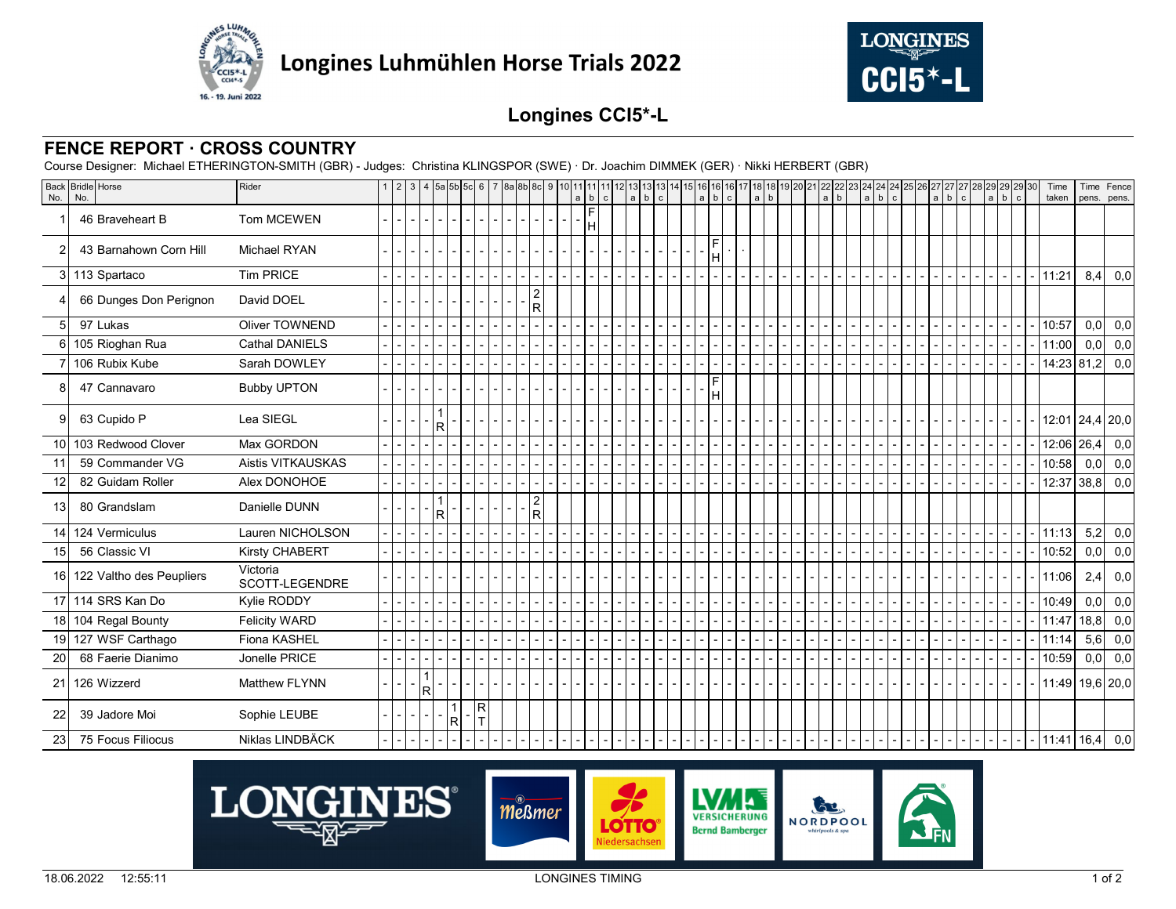



## **Longines CCI5\*-L**

## **FENCE REPORT · CROSS COUNTRY**

Course Designer: Michael ETHERINGTON-SMITH (GBR) - Judges: Christina KLINGSPOR (SWE) · Dr. Joachim DIMMEK (GER) · Nikki HERBERT (GBR)

| No.             | Back Bridle Horse<br>No.    | Rider                      |  |    |   |   |                    |  |                      | 1 2 3 4 5 5 5 6 6 7 8 8 8 9 10 11 11 11 12 13 13 13 14 15 6 16 16 17 18 18 19 20 21 22 22<br>a b c a b c a b c a b c a b c a b c a b c a b c a b c a b c a b c a b c |  |  |  |   |  | $a \underline{b}$ |  |  |  |  |  |  |  | Time<br>taken               | Time<br>pens. | Fence<br>pens. |     |
|-----------------|-----------------------------|----------------------------|--|----|---|---|--------------------|--|----------------------|----------------------------------------------------------------------------------------------------------------------------------------------------------------------|--|--|--|---|--|-------------------|--|--|--|--|--|--|--|-----------------------------|---------------|----------------|-----|
|                 | 46 Braveheart B             | <b>Tom MCEWEN</b>          |  |    |   |   |                    |  |                      | F<br>H                                                                                                                                                               |  |  |  |   |  |                   |  |  |  |  |  |  |  |                             |               |                |     |
| 2               | 43 Barnahown Corn Hill      | <b>Michael RYAN</b>        |  |    |   |   |                    |  |                      |                                                                                                                                                                      |  |  |  | H |  |                   |  |  |  |  |  |  |  |                             |               |                |     |
|                 | 3 113 Spartaco              | <b>Tim PRICE</b>           |  |    |   |   |                    |  |                      |                                                                                                                                                                      |  |  |  |   |  |                   |  |  |  |  |  |  |  | 11:21                       | $8,4$ 0,0     |                |     |
|                 | 66 Dunges Don Perignon      | David DOEL                 |  |    |   |   |                    |  | 2<br>Rl              |                                                                                                                                                                      |  |  |  |   |  |                   |  |  |  |  |  |  |  |                             |               |                |     |
| 5               | 97 Lukas                    | <b>Oliver TOWNEND</b>      |  |    |   |   |                    |  |                      |                                                                                                                                                                      |  |  |  |   |  |                   |  |  |  |  |  |  |  | 10:57                       | 0,0           |                | 0,0 |
|                 | 105 Rioghan Rua             | <b>Cathal DANIELS</b>      |  |    |   |   |                    |  |                      |                                                                                                                                                                      |  |  |  |   |  |                   |  |  |  |  |  |  |  | 11:00                       | $0,0$ 0,0     |                |     |
|                 | 106 Rubix Kube              | Sarah DOWLEY               |  |    |   |   |                    |  |                      |                                                                                                                                                                      |  |  |  |   |  |                   |  |  |  |  |  |  |  | $14:23$ 81,2                |               |                | 0,0 |
|                 | 47 Cannavaro                | <b>Bubby UPTON</b>         |  |    |   |   |                    |  |                      |                                                                                                                                                                      |  |  |  | H |  |                   |  |  |  |  |  |  |  |                             |               |                |     |
|                 | 63 Cupido P                 | Lea SIEGL                  |  |    |   |   |                    |  |                      |                                                                                                                                                                      |  |  |  |   |  |                   |  |  |  |  |  |  |  | 12:01 24,4 20,0             |               |                |     |
| 10 <sup>1</sup> | 103 Redwood Clover          | Max GORDON                 |  |    |   |   |                    |  |                      |                                                                                                                                                                      |  |  |  |   |  |                   |  |  |  |  |  |  |  | $\overline{12:06}$ 26,4 0,0 |               |                |     |
| 11              | 59 Commander VG             | <b>Aistis VITKAUSKAS</b>   |  |    |   |   |                    |  |                      |                                                                                                                                                                      |  |  |  |   |  |                   |  |  |  |  |  |  |  | 10:58                       | 0,0           |                | 0,0 |
| 12              | 82 Guidam Roller            | Alex DONOHOE               |  |    |   |   |                    |  |                      |                                                                                                                                                                      |  |  |  |   |  |                   |  |  |  |  |  |  |  | 12:37                       | 38,8 0,0      |                |     |
| 13              | 80 Grandslam                | Danielle DUNN              |  |    |   |   |                    |  | $\overline{2}$<br>Rl |                                                                                                                                                                      |  |  |  |   |  |                   |  |  |  |  |  |  |  |                             |               |                |     |
| 14              | 124 Vermiculus              | Lauren NICHOLSON           |  |    |   |   |                    |  |                      |                                                                                                                                                                      |  |  |  |   |  |                   |  |  |  |  |  |  |  | 11:13                       | $5,2$ 0,0     |                |     |
| 15              | 56 Classic VI               | Kirsty CHABERT             |  |    |   |   |                    |  |                      |                                                                                                                                                                      |  |  |  |   |  |                   |  |  |  |  |  |  |  | 10:52                       | $0,0$ 0,0     |                |     |
|                 | 16 122 Valtho des Peupliers | Victoria<br>SCOTT-LEGENDRE |  |    |   |   |                    |  |                      |                                                                                                                                                                      |  |  |  |   |  |                   |  |  |  |  |  |  |  | 11:06                       | 2,4           |                | 0,0 |
|                 | 17 114 SRS Kan Do           | Kylie RODDY                |  |    |   |   |                    |  |                      |                                                                                                                                                                      |  |  |  |   |  |                   |  |  |  |  |  |  |  | 10:49                       | 0,0           |                | 0,0 |
|                 | 18 104 Regal Bounty         | <b>Felicity WARD</b>       |  |    |   |   |                    |  |                      |                                                                                                                                                                      |  |  |  |   |  |                   |  |  |  |  |  |  |  | 11:47                       | 18,8          |                | 0,0 |
|                 | 19 127 WSF Carthago         | Fiona KASHEL               |  |    |   |   |                    |  |                      |                                                                                                                                                                      |  |  |  |   |  |                   |  |  |  |  |  |  |  | 11:14                       | 5,6           |                | 0,0 |
| 20              | 68 Faerie Dianimo           | Jonelle PRICE              |  |    |   |   |                    |  |                      |                                                                                                                                                                      |  |  |  |   |  |                   |  |  |  |  |  |  |  | 10:59                       | $0,0$ 0,0     |                |     |
|                 | 21 126 Wizzerd              | Matthew FLYNN              |  | -1 | R |   |                    |  |                      |                                                                                                                                                                      |  |  |  |   |  |                   |  |  |  |  |  |  |  | 11:49 19,6 20,0             |               |                |     |
| 22              | 39 Jadore Moi               | Sophie LEUBE               |  |    |   | R | R <br>$\mathsf{T}$ |  |                      |                                                                                                                                                                      |  |  |  |   |  |                   |  |  |  |  |  |  |  |                             |               |                |     |
| 23              | 75 Focus Filiocus           | Niklas LINDBÄCK            |  |    |   |   |                    |  |                      |                                                                                                                                                                      |  |  |  |   |  |                   |  |  |  |  |  |  |  | 11:41 16,4 0,0              |               |                |     |